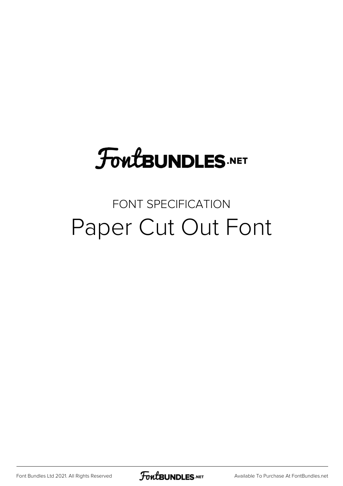# **FoutBUNDLES.NET**

### FONT SPECIFICATION Paper Cut Out Font

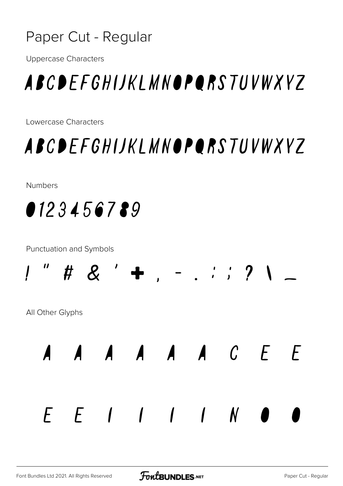

**Uppercase Characters** 

### ABCDEFGHIJKLMNOPORSTUVWXYZ

Lowercase Characters

### ABCDEFGHIJKLMNOPORSTUVWXYZ

**Numbers** 



**Punctuation and Symbols** 



All Other Glyphs



 $E E I I I I N O$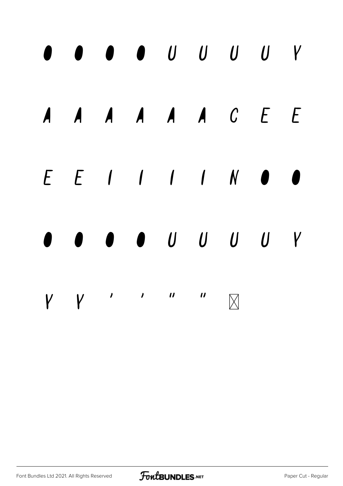#### $\mathsf{Y}$  $\bullet$ A A A A A C E E  $\overline{A}$  $E E I I I I N O$ 1  $\bullet$  U U U U  $\mathsf{Y}$  $\mathcal{L}(\mathcal{L})$  $\overline{u}$  $\overline{\phantom{a}}$  $\boldsymbol{u}$  $\mathsf{V}$  $\overline{V}$  $\overline{\mathsf{M}}$

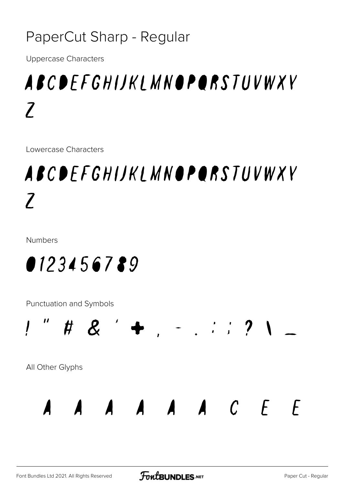#### PaperCut Sharp - Regular

**Uppercase Characters** 

## ABCDEFGHIJKI MNOPORSTUVWXY  $\boldsymbol{7}$

Lowercase Characters

## ABCDEFGHIJKLMNOPORSTUVWXY  $\boldsymbol{7}$

**Numbers** 



Punctuation and Symbols